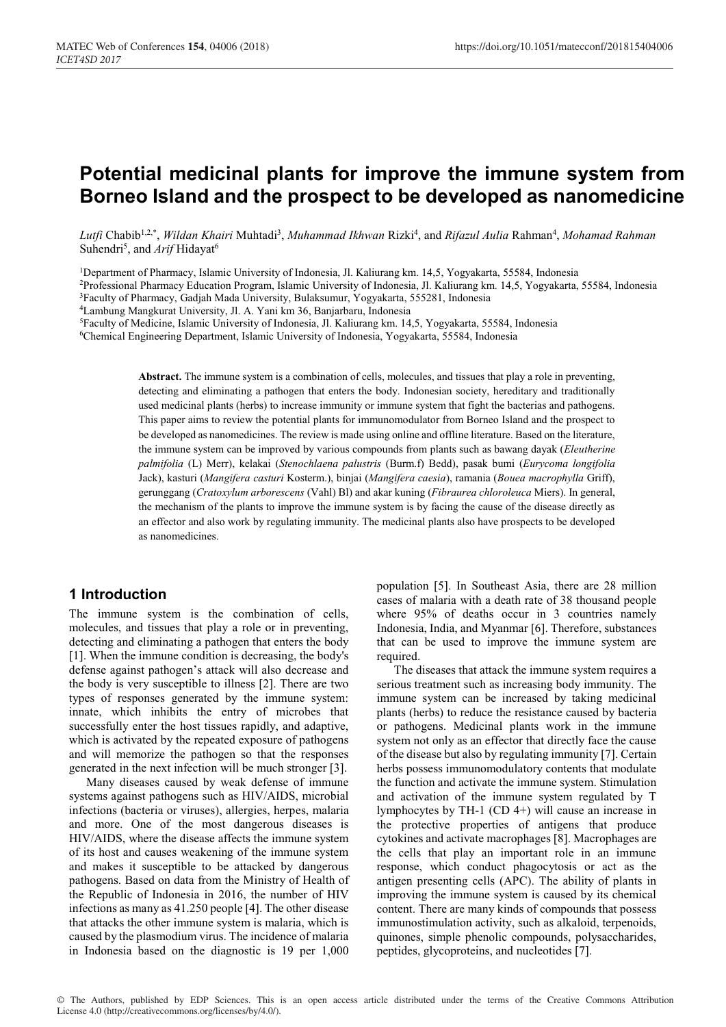# **Potential medicinal plants for improve the immune system from Borneo Island and the prospect to be developed as nanomedicine**

Lutfi Chabib<sup>1,2,\*</sup>, *Wildan Khairi* Muhtadi<sup>3</sup>, *Muhammad Ikhwan Rizki<sup>4</sup>, and <i>Rifazul Aulia Rahman<sup>4</sup>, Mohamad Rahman* Suhendri<sup>5</sup>, and *Arif* Hidayat<sup>6</sup>

1Department of Pharmacy, Islamic University of Indonesia, Jl. Kaliurang km. 14,5, Yogyakarta, 55584, Indonesia

2Professional Pharmacy Education Program, Islamic University of Indonesia, Jl. Kaliurang km. 14,5, Yogyakarta, 55584, Indonesia

3Faculty of Pharmacy, Gadjah Mada University, Bulaksumur, Yogyakarta, 555281, Indonesia

4Lambung Mangkurat University, Jl. A. Yani km 36, Banjarbaru, Indonesia

5 Faculty of Medicine, Islamic University of Indonesia, Jl. Kaliurang km. 14,5, Yogyakarta, 55584, Indonesia

6Chemical Engineering Department, Islamic University of Indonesia, Yogyakarta, 55584, Indonesia

**Abstract.** The immune system is a combination of cells, molecules, and tissues that play a role in preventing, detecting and eliminating a pathogen that enters the body. Indonesian society, hereditary and traditionally used medicinal plants (herbs) to increase immunity or immune system that fight the bacterias and pathogens. This paper aims to review the potential plants for immunomodulator from Borneo Island and the prospect to be developed as nanomedicines. The review is made using online and offline literature. Based on the literature, the immune system can be improved by various compounds from plants such as bawang dayak (*Eleutherine palmifolia* (L) Merr), kelakai (*Stenochlaena palustris* (Burm.f) Bedd), pasak bumi (*Eurycoma longifolia* Jack), kasturi (*Mangifera casturi* Kosterm.), binjai (*Mangifera caesia*), ramania (*Bouea macrophylla* Griff), gerunggang (*Cratoxylum arborescens* (Vahl) Bl) and akar kuning (*Fibraurea chloroleuca* Miers). In general, the mechanism of the plants to improve the immune system is by facing the cause of the disease directly as an effector and also work by regulating immunity. The medicinal plants also have prospects to be developed as nanomedicines.

#### **1 Introduction**

The immune system is the combination of cells, molecules, and tissues that play a role or in preventing, detecting and eliminating a pathogen that enters the body [1]. When the immune condition is decreasing, the body's defense against pathogen's attack will also decrease and the body is very susceptible to illness [2]. There are two types of responses generated by the immune system: innate, which inhibits the entry of microbes that successfully enter the host tissues rapidly, and adaptive, which is activated by the repeated exposure of pathogens and will memorize the pathogen so that the responses generated in the next infection will be much stronger [3].

Many diseases caused by weak defense of immune systems against pathogens such as HIV/AIDS, microbial infections (bacteria or viruses), allergies, herpes, malaria and more. One of the most dangerous diseases is HIV/AIDS, where the disease affects the immune system of its host and causes weakening of the immune system and makes it susceptible to be attacked by dangerous pathogens. Based on data from the Ministry of Health of the Republic of Indonesia in 2016, the number of HIV infections as many as 41.250 people [4]. The other disease that attacks the other immune system is malaria, which is caused by the plasmodium virus. The incidence of malaria in Indonesia based on the diagnostic is 19 per 1,000

population [5]. In Southeast Asia, there are 28 million cases of malaria with a death rate of 38 thousand people where 95% of deaths occur in 3 countries namely Indonesia, India, and Myanmar [6]. Therefore, substances that can be used to improve the immune system are required.

The diseases that attack the immune system requires a serious treatment such as increasing body immunity. The immune system can be increased by taking medicinal plants (herbs) to reduce the resistance caused by bacteria or pathogens. Medicinal plants work in the immune system not only as an effector that directly face the cause of the disease but also by regulating immunity [7]. Certain herbs possess immunomodulatory contents that modulate the function and activate the immune system. Stimulation and activation of the immune system regulated by T lymphocytes by TH-1 (CD 4+) will cause an increase in the protective properties of antigens that produce cytokines and activate macrophages [8]. Macrophages are the cells that play an important role in an immune response, which conduct phagocytosis or act as the antigen presenting cells (APC). The ability of plants in improving the immune system is caused by its chemical content. There are many kinds of compounds that possess immunostimulation activity, such as alkaloid, terpenoids, quinones, simple phenolic compounds, polysaccharides, peptides, glycoproteins, and nucleotides [7].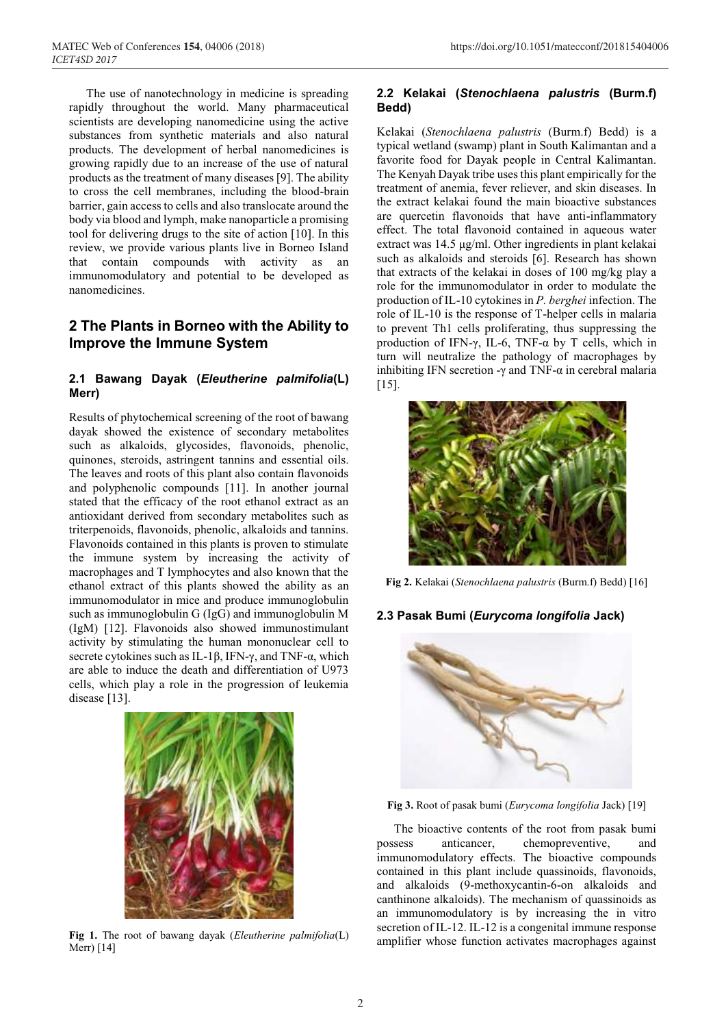The use of nanotechnology in medicine is spreading rapidly throughout the world. Many pharmaceutical scientists are developing nanomedicine using the active substances from synthetic materials and also natural products. The development of herbal nanomedicines is growing rapidly due to an increase of the use of natural products as the treatment of many diseases [9]. The ability to cross the cell membranes, including the blood-brain barrier, gain access to cells and also translocate around the body via blood and lymph, make nanoparticle a promising tool for delivering drugs to the site of action [10]. In this review, we provide various plants live in Borneo Island that contain compounds with activity as an immunomodulatory and potential to be developed as nanomedicines.

# **2 The Plants in Borneo with the Ability to Improve the Immune System**

#### **2.1 Bawang Dayak (***Eleutherine palmifolia***(L) Merr)**

Results of phytochemical screening of the root of bawang dayak showed the existence of secondary metabolites such as alkaloids, glycosides, flavonoids, phenolic, quinones, steroids, astringent tannins and essential oils. The leaves and roots of this plant also contain flavonoids and polyphenolic compounds [11]. In another journal stated that the efficacy of the root ethanol extract as an antioxidant derived from secondary metabolites such as triterpenoids, flavonoids, phenolic, alkaloids and tannins. Flavonoids contained in this plants is proven to stimulate the immune system by increasing the activity of macrophages and T lymphocytes and also known that the ethanol extract of this plants showed the ability as an immunomodulator in mice and produce immunoglobulin such as immunoglobulin G (IgG) and immunoglobulin M (IgM) [12]. Flavonoids also showed immunostimulant activity by stimulating the human mononuclear cell to secrete cytokines such as IL-1β, IFN- $\gamma$ , and TNF- $\alpha$ , which are able to induce the death and differentiation of U973 cells, which play a role in the progression of leukemia disease [13].



**Fig 1.** The root of bawang dayak (*Eleutherine palmifolia*(L) Merr) [14]

#### **2.2 Kelakai (***Stenochlaena palustris* **(Burm.f) Bedd)**

Kelakai (*Stenochlaena palustris* (Burm.f) Bedd) is a typical wetland (swamp) plant in South Kalimantan and a favorite food for Dayak people in Central Kalimantan. The Kenyah Dayak tribe uses this plant empirically for the treatment of anemia, fever reliever, and skin diseases. In the extract kelakai found the main bioactive substances are quercetin flavonoids that have anti-inflammatory effect. The total flavonoid contained in aqueous water extract was 14.5 μg/ml. Other ingredients in plant kelakai such as alkaloids and steroids [6]. Research has shown that extracts of the kelakai in doses of 100 mg/kg play a role for the immunomodulator in order to modulate the production of IL-10 cytokines in *P. berghei* infection. The role of IL-10 is the response of T-helper cells in malaria to prevent Th1 cells proliferating, thus suppressing the production of IFN-γ, IL-6, TNF- $\alpha$  by T cells, which in turn will neutralize the pathology of macrophages by inhibiting IFN secretion -γ and TNF- $\alpha$  in cerebral malaria [15].



**Fig 2.** Kelakai (*Stenochlaena palustris* (Burm.f) Bedd) [16]

#### **2.3 Pasak Bumi (***Eurycoma longifolia* **Jack)**



**Fig 3.** Root of pasak bumi (*Eurycoma longifolia* Jack) [19]

The bioactive contents of the root from pasak bumi possess anticancer, chemopreventive, and immunomodulatory effects. The bioactive compounds contained in this plant include quassinoids, flavonoids, and alkaloids (9-methoxycantin-6-on alkaloids and canthinone alkaloids). The mechanism of quassinoids as an immunomodulatory is by increasing the in vitro secretion of IL-12. IL-12 is a congenital immune response amplifier whose function activates macrophages against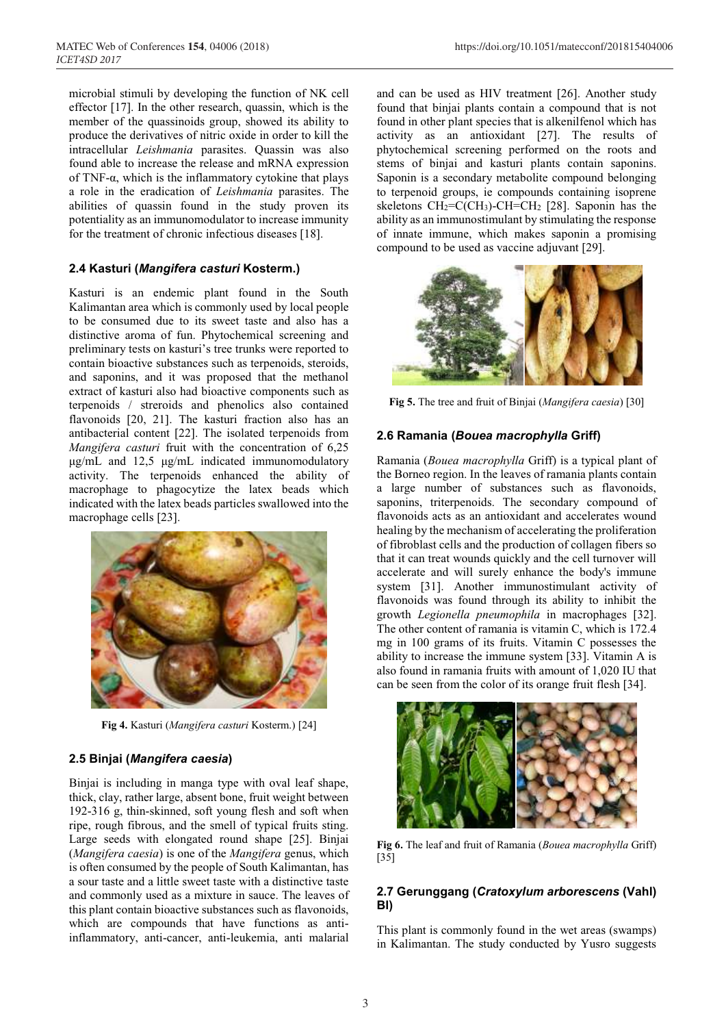microbial stimuli by developing the function of NK cell effector [17]. In the other research, quassin, which is the member of the quassinoids group, showed its ability to produce the derivatives of nitric oxide in order to kill the intracellular *Leishmania* parasites. Quassin was also found able to increase the release and mRNA expression of TNF- $\alpha$ , which is the inflammatory cytokine that plays a role in the eradication of *Leishmania* parasites. The abilities of quassin found in the study proven its potentiality as an immunomodulator to increase immunity for the treatment of chronic infectious diseases [18].

#### **2.4 Kasturi (***Mangifera casturi* **Kosterm.)**

Kasturi is an endemic plant found in the South Kalimantan area which is commonly used by local people to be consumed due to its sweet taste and also has a distinctive aroma of fun. Phytochemical screening and preliminary tests on kasturi's tree trunks were reported to contain bioactive substances such as terpenoids, steroids, and saponins, and it was proposed that the methanol extract of kasturi also had bioactive components such as terpenoids / streroids and phenolics also contained flavonoids [20, 21]. The kasturi fraction also has an antibacterial content [22]. The isolated terpenoids from *Mangifera casturi* fruit with the concentration of 6,25 μg/mL and 12,5 μg/mL indicated immunomodulatory activity. The terpenoids enhanced the ability of macrophage to phagocytize the latex beads which indicated with the latex beads particles swallowed into the macrophage cells [23].



**Fig 4.** Kasturi (*Mangifera casturi* Kosterm.) [24]

#### **2.5 Binjai (***Mangifera caesia***)**

Binjai is including in manga type with oval leaf shape, thick, clay, rather large, absent bone, fruit weight between 192-316 g, thin-skinned, soft young flesh and soft when ripe, rough fibrous, and the smell of typical fruits sting. Large seeds with elongated round shape [25]. Binjai (*Mangifera caesia*) is one of the *Mangifera* genus, which is often consumed by the people of South Kalimantan, has a sour taste and a little sweet taste with a distinctive taste and commonly used as a mixture in sauce. The leaves of this plant contain bioactive substances such as flavonoids, which are compounds that have functions as antiinflammatory, anti-cancer, anti-leukemia, anti malarial

and can be used as HIV treatment [26]. Another study found that binjai plants contain a compound that is not found in other plant species that is alkenilfenol which has activity as an antioxidant [27]. The results of phytochemical screening performed on the roots and stems of binjai and kasturi plants contain saponins. Saponin is a secondary metabolite compound belonging to terpenoid groups, ie compounds containing isoprene skeletons  $CH_2=C(CH_3)$ -CH=CH<sub>2</sub> [28]. Saponin has the ability as an immunostimulant by stimulating the response of innate immune, which makes saponin a promising compound to be used as vaccine adjuvant [29].



**Fig 5.** The tree and fruit of Binjai (*Mangifera caesia*) [30]

#### **2.6 Ramania (***Bouea macrophylla* **Griff)**

Ramania (*Bouea macrophylla* Griff) is a typical plant of the Borneo region. In the leaves of ramania plants contain a large number of substances such as flavonoids, saponins, triterpenoids. The secondary compound of flavonoids acts as an antioxidant and accelerates wound healing by the mechanism of accelerating the proliferation of fibroblast cells and the production of collagen fibers so that it can treat wounds quickly and the cell turnover will accelerate and will surely enhance the body's immune system [31]. Another immunostimulant activity of flavonoids was found through its ability to inhibit the growth *Legionella pneumophila* in macrophages [32]. The other content of ramania is vitamin C, which is 172.4 mg in 100 grams of its fruits. Vitamin C possesses the ability to increase the immune system [33]. Vitamin A is also found in ramania fruits with amount of 1,020 IU that can be seen from the color of its orange fruit flesh [34].



**Fig 6.** The leaf and fruit of Ramania (*Bouea macrophylla* Griff) [35]

## **2.7 Gerunggang (***Cratoxylum arborescens* **(Vahl) Bl)**

This plant is commonly found in the wet areas (swamps) in Kalimantan. The study conducted by Yusro suggests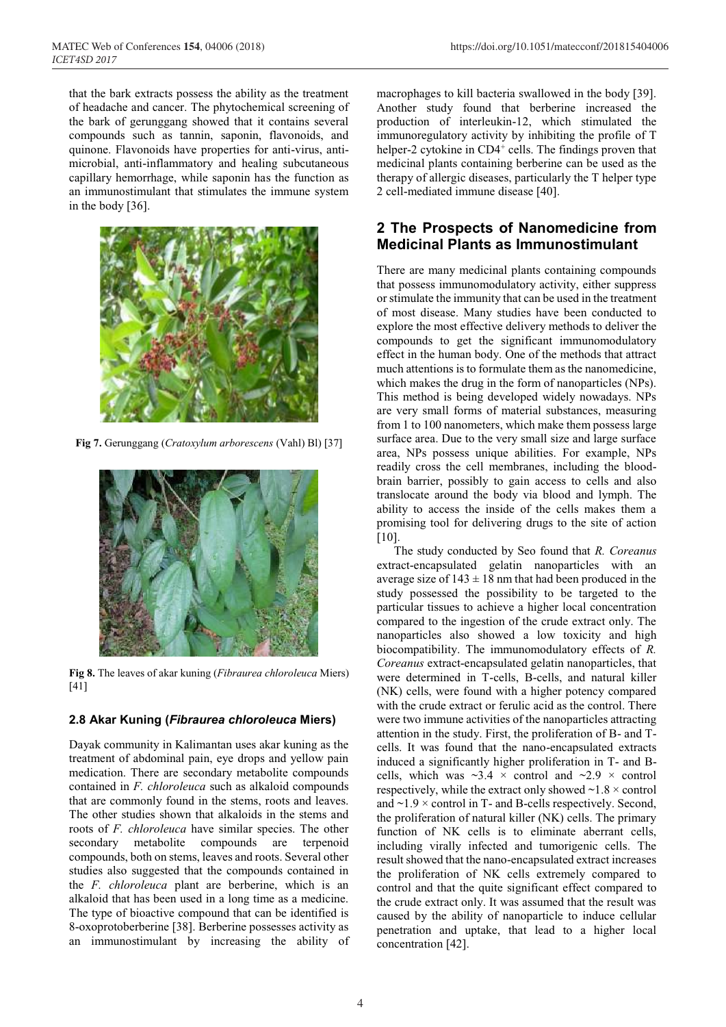that the bark extracts possess the ability as the treatment of headache and cancer. The phytochemical screening of the bark of gerunggang showed that it contains several compounds such as tannin, saponin, flavonoids, and quinone. Flavonoids have properties for anti-virus, antimicrobial, anti-inflammatory and healing subcutaneous capillary hemorrhage, while saponin has the function as an immunostimulant that stimulates the immune system in the body [36].



**Fig 7.** Gerunggang (*Cratoxylum arborescens* (Vahl) Bl) [37]



**Fig 8.** The leaves of akar kuning (*Fibraurea chloroleuca* Miers) [41]

#### **2.8 Akar Kuning (***Fibraurea chloroleuca* **Miers)**

Dayak community in Kalimantan uses akar kuning as the treatment of abdominal pain, eye drops and yellow pain medication. There are secondary metabolite compounds contained in *F. chloroleuca* such as alkaloid compounds that are commonly found in the stems, roots and leaves. The other studies shown that alkaloids in the stems and roots of *F. chloroleuca* have similar species. The other secondary metabolite compounds are terpenoid compounds, both on stems, leaves and roots. Several other studies also suggested that the compounds contained in the *F. chloroleuca* plant are berberine, which is an alkaloid that has been used in a long time as a medicine. The type of bioactive compound that can be identified is 8-oxoprotoberberine [38]. Berberine possesses activity as an immunostimulant by increasing the ability of macrophages to kill bacteria swallowed in the body [39]. Another study found that berberine increased the production of interleukin-12, which stimulated the immunoregulatory activity by inhibiting the profile of T helper-2 cytokine in  $CD4^+$  cells. The findings proven that medicinal plants containing berberine can be used as the therapy of allergic diseases, particularly the T helper type 2 cell-mediated immune disease [40].

## **2 The Prospects of Nanomedicine from Medicinal Plants as Immunostimulant**

There are many medicinal plants containing compounds that possess immunomodulatory activity, either suppress or stimulate the immunity that can be used in the treatment of most disease. Many studies have been conducted to explore the most effective delivery methods to deliver the compounds to get the significant immunomodulatory effect in the human body. One of the methods that attract much attentions is to formulate them as the nanomedicine, which makes the drug in the form of nanoparticles (NPs). This method is being developed widely nowadays. NPs are very small forms of material substances, measuring from 1 to 100 nanometers, which make them possess large surface area. Due to the very small size and large surface area, NPs possess unique abilities. For example, NPs readily cross the cell membranes, including the bloodbrain barrier, possibly to gain access to cells and also translocate around the body via blood and lymph. The ability to access the inside of the cells makes them a promising tool for delivering drugs to the site of action [10].

The study conducted by Seo found that *R. Coreanus*  extract-encapsulated gelatin nanoparticles with an average size of  $143 \pm 18$  nm that had been produced in the study possessed the possibility to be targeted to the particular tissues to achieve a higher local concentration compared to the ingestion of the crude extract only. The nanoparticles also showed a low toxicity and high biocompatibility. The immunomodulatory effects of *R. Coreanus* extract-encapsulated gelatin nanoparticles, that were determined in T-cells, B-cells, and natural killer (NK) cells, were found with a higher potency compared with the crude extract or ferulic acid as the control. There were two immune activities of the nanoparticles attracting attention in the study. First, the proliferation of B- and Tcells. It was found that the nano-encapsulated extracts induced a significantly higher proliferation in T- and Bcells, which was  $\sim$ 3.4  $\times$  control and  $\sim$ 2.9  $\times$  control respectively, while the extract only showed  $\sim 1.8 \times$  control and  $\sim$ 1.9  $\times$  control in T- and B-cells respectively. Second, the proliferation of natural killer (NK) cells. The primary function of NK cells is to eliminate aberrant cells, including virally infected and tumorigenic cells. The result showed that the nano-encapsulated extract increases the proliferation of NK cells extremely compared to control and that the quite significant effect compared to the crude extract only. It was assumed that the result was caused by the ability of nanoparticle to induce cellular penetration and uptake, that lead to a higher local concentration [42].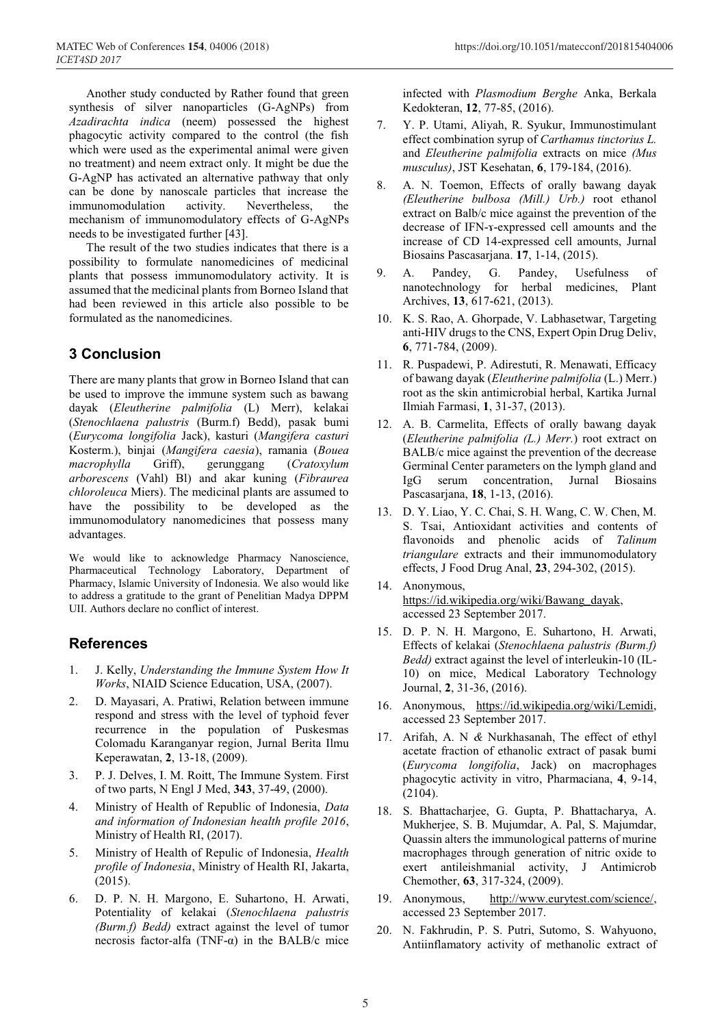Another study conducted by Rather found that green synthesis of silver nanoparticles (G-AgNPs) from *Azadirachta indica* (neem) possessed the highest phagocytic activity compared to the control (the fish which were used as the experimental animal were given no treatment) and neem extract only. It might be due the G-AgNP has activated an alternative pathway that only can be done by nanoscale particles that increase the immunomodulation activity. Nevertheless, the mechanism of immunomodulatory effects of G-AgNPs needs to be investigated further [43].

The result of the two studies indicates that there is a possibility to formulate nanomedicines of medicinal plants that possess immunomodulatory activity. It is assumed that the medicinal plants from Borneo Island that had been reviewed in this article also possible to be formulated as the nanomedicines.

# **3 Conclusion**

There are many plants that grow in Borneo Island that can be used to improve the immune system such as bawang dayak (*Eleutherine palmifolia* (L) Merr), kelakai (*Stenochlaena palustris* (Burm.f) Bedd), pasak bumi (*Eurycoma longifolia* Jack), kasturi (*Mangifera casturi* Kosterm.), binjai (*Mangifera caesia*), ramania (*Bouea macrophylla* Griff), gerunggang (*Cratoxylum arborescens* (Vahl) Bl) and akar kuning (*Fibraurea chloroleuca* Miers). The medicinal plants are assumed to have the possibility to be developed as the immunomodulatory nanomedicines that possess many advantages.

We would like to acknowledge Pharmacy Nanoscience, Pharmaceutical Technology Laboratory, Department of Pharmacy, Islamic University of Indonesia. We also would like to address a gratitude to the grant of Penelitian Madya DPPM UII. Authors declare no conflict of interest.

## **References**

- 1. J. Kelly, *Understanding the Immune System How It Works*, NIAID Science Education, USA, (2007).
- 2. D. Mayasari, A. Pratiwi, Relation between immune respond and stress with the level of typhoid fever recurrence in the population of Puskesmas Colomadu Karanganyar region, Jurnal Berita Ilmu Keperawatan, **2**, 13-18, (2009).
- 3. P. J. Delves, I. M. Roitt, The Immune System. First of two parts, N Engl J Med, **343**, 37-49, (2000).
- 4. Ministry of Health of Republic of Indonesia, *Data and information of Indonesian health profile 2016*, Ministry of Health RI, (2017).
- 5. Ministry of Health of Repulic of Indonesia, *Health profile of Indonesia*, Ministry of Health RI, Jakarta, (2015).
- 6. D. P. N. H. Margono, E. Suhartono, H. Arwati, Potentiality of kelakai (*Stenochlaena palustris (Burm.f) Bedd)* extract against the level of tumor necrosis factor-alfa (TNF-α) in the BALB/c mice

infected with *Plasmodium Berghe* Anka, Berkala Kedokteran, **12**, 77-85, (2016).

- 7. Y. P. Utami, Aliyah, R. Syukur, Immunostimulant effect combination syrup of *Carthamus tinctorius L.*  and *Eleutherine palmifolia* extracts on mice *(Mus musculus)*, JST Kesehatan, **6**, 179-184, (2016).
- 8. A. N. Toemon, Effects of orally bawang dayak *(Eleutherine bulbosa (Mill.) Urb.)* root ethanol extract on Balb/c mice against the prevention of the decrease of IFN-ɤ-expressed cell amounts and the increase of CD 14-expressed cell amounts, Jurnal Biosains Pascasarjana. **17**, 1-14, (2015).
- 9. A. Pandey, G. Pandey, Usefulness of nanotechnology for herbal medicines, Plant Archives, **13**, 617-621, (2013).
- 10. K. S. Rao, A. Ghorpade, V. Labhasetwar, Targeting anti-HIV drugs to the CNS, Expert Opin Drug Deliv, **6**, 771-784, (2009).
- 11. R. Puspadewi, P. Adirestuti, R. Menawati, Efficacy of bawang dayak (*Eleutherine palmifolia* (L.) Merr.) root as the skin antimicrobial herbal, Kartika Jurnal Ilmiah Farmasi, **1**, 31-37, (2013).
- 12. A. B. Carmelita, Effects of orally bawang dayak (*Eleutherine palmifolia (L.) Merr.*) root extract on BALB/c mice against the prevention of the decrease Germinal Center parameters on the lymph gland and IgG serum concentration, Jurnal Biosains Pascasarjana, **18**, 1-13, (2016).
- 13. D. Y. Liao, Y. C. Chai, S. H. Wang, C. W. Chen, M. S. Tsai, Antioxidant activities and contents of flavonoids and phenolic acids of *Talinum triangulare* extracts and their immunomodulatory effects, J Food Drug Anal, **23**, 294-302, (2015).
- 14. Anonymous, https://id.wikipedia.org/wiki/Bawang\_dayak, accessed 23 September 2017.
- 15. D. P. N. H. Margono, E. Suhartono, H. Arwati, Effects of kelakai (*Stenochlaena palustris (Burm.f) Bedd)* extract against the level of interleukin-10 (IL-10) on mice, Medical Laboratory Technology Journal, **2**, 31-36, (2016).
- 16. Anonymous, https://id.wikipedia.org/wiki/Lemidi, accessed 23 September 2017.
- 17. Arifah, A. N *&* Nurkhasanah, The effect of ethyl acetate fraction of ethanolic extract of pasak bumi (*Eurycoma longifolia*, Jack) on macrophages phagocytic activity in vitro, Pharmaciana, **4**, 9-14, (2104).
- 18. S. Bhattacharjee, G. Gupta, P. Bhattacharya, A. Mukherjee, S. B. Mujumdar, A. Pal, S. Majumdar, Quassin alters the immunological patterns of murine macrophages through generation of nitric oxide to exert antileishmanial activity, J Antimicrob Chemother, **63**, 317-324, (2009).
- 19. Anonymous, http://www.eurytest.com/science/, accessed 23 September 2017.
- 20. N. Fakhrudin, P. S. Putri, Sutomo, S. Wahyuono, Antiinflamatory activity of methanolic extract of